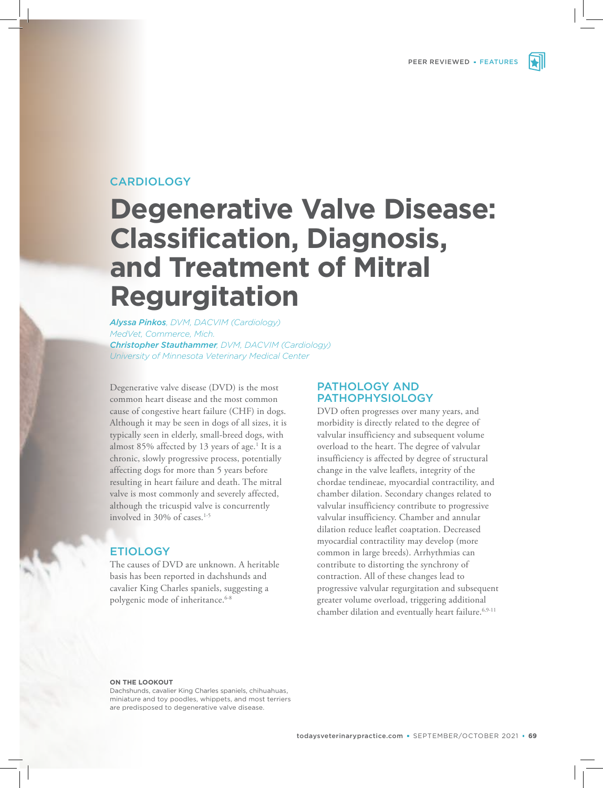

# CARDIOLOGY

# **Degenerative Valve Disease: Classification, Diagnosis, and Treatment of Mitral Regurgitation**

*Alyssa Pinkos, DVM, DACVIM (Cardiology) MedVet, Commerce, Mich. Christopher Stauthammer, DVM, DACVIM (Cardiology) University of Minnesota Veterinary Medical Center* 

Degenerative valve disease (DVD) is the most common heart disease and the most common cause of congestive heart failure (CHF) in dogs. Although it may be seen in dogs of all sizes, it is typically seen in elderly, small-breed dogs, with almost 85% affected by 13 years of age.<sup>1</sup> It is a chronic, slowly progressive process, potentially affecting dogs for more than 5 years before resulting in heart failure and death. The mitral valve is most commonly and severely affected, although the tricuspid valve is concurrently involved in 30% of cases.<sup>1-5</sup>

# ETIOLOGY

The causes of DVD are unknown. A heritable basis has been reported in dachshunds and cavalier King Charles spaniels, suggesting a polygenic mode of inheritance.<sup>6-8</sup>

# PATHOLOGY AND PATHOPHYSIOLOGY

DVD often progresses over many years, and morbidity is directly related to the degree of valvular insufficiency and subsequent volume overload to the heart. The degree of valvular insufficiency is affected by degree of structural change in the valve leaflets, integrity of the chordae tendineae, myocardial contractility, and chamber dilation. Secondary changes related to valvular insufficiency contribute to progressive valvular insufficiency. Chamber and annular dilation reduce leaflet coaptation. Decreased myocardial contractility may develop (more common in large breeds). Arrhythmias can contribute to distorting the synchrony of contraction. All of these changes lead to progressive valvular regurgitation and subsequent greater volume overload, triggering additional chamber dilation and eventually heart failure.<sup>6,9-11</sup>

#### **ON THE LOOKOUT**

 Dachshunds, cavalier King Charles spaniels, chihuahuas, miniature and toy poodles, whippets, and most terriers are predisposed to degenerative valve disease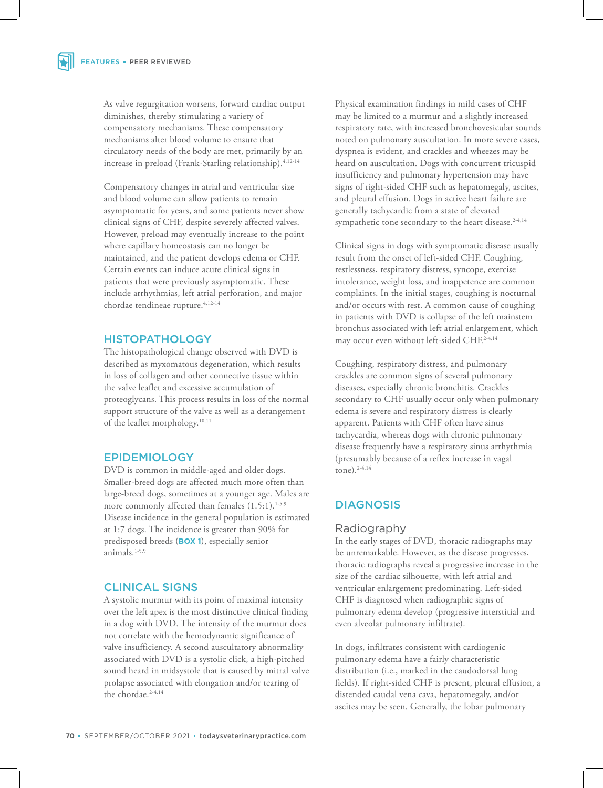As valve regurgitation worsens, forward cardiac output diminishes, thereby stimulating a variety of compensatory mechanisms. These compensatory mechanisms alter blood volume to ensure that circulatory needs of the body are met, primarily by an increase in preload (Frank-Starling relationship).<sup>4,12-14</sup>

Compensatory changes in atrial and ventricular size and blood volume can allow patients to remain asymptomatic for years, and some patients never show clinical signs of CHF, despite severely affected valves. However, preload may eventually increase to the point where capillary homeostasis can no longer be maintained, and the patient develops edema or CHF. Certain events can induce acute clinical signs in patients that were previously asymptomatic. These include arrhythmias, left atrial perforation, and major chordae tendineae rupture.<sup>4,12-14</sup>

#### **HISTOPATHOLOGY**

The histopathological change observed with DVD is described as myxomatous degeneration, which results in loss of collagen and other connective tissue within the valve leaflet and excessive accumulation of proteoglycans. This process results in loss of the normal support structure of the valve as well as a derangement of the leaflet morphology.<sup>10,11</sup>

#### EPIDEMIOLOGY

DVD is common in middle-aged and older dogs. Smaller-breed dogs are affected much more often than large-breed dogs, sometimes at a younger age. Males are more commonly affected than females  $(1.5:1).$ <sup>1-5,9</sup> Disease incidence in the general population is estimated at 1:7 dogs. The incidence is greater than 90% for predisposed breeds (**BOX 1**), especially senior animals.1-5,9

# CLINICAL SIGNS

A systolic murmur with its point of maximal intensity over the left apex is the most distinctive clinical finding in a dog with DVD. The intensity of the murmur does not correlate with the hemodynamic significance of valve insufficiency. A second auscultatory abnormality associated with DVD is a systolic click, a high-pitched sound heard in midsystole that is caused by mitral valve prolapse associated with elongation and/or tearing of the chordae.<sup>2-4,14</sup>

Physical examination findings in mild cases of CHF may be limited to a murmur and a slightly increased respiratory rate, with increased bronchovesicular sounds noted on pulmonary auscultation. In more severe cases, dyspnea is evident, and crackles and wheezes may be heard on auscultation. Dogs with concurrent tricuspid insufficiency and pulmonary hypertension may have signs of right-sided CHF such as hepatomegaly, ascites, and pleural effusion. Dogs in active heart failure are generally tachycardic from a state of elevated sympathetic tone secondary to the heart disease.<sup>2-4,14</sup>

Clinical signs in dogs with symptomatic disease usually result from the onset of left-sided CHF. Coughing, restlessness, respiratory distress, syncope, exercise intolerance, weight loss, and inappetence are common complaints. In the initial stages, coughing is nocturnal and/or occurs with rest. A common cause of coughing in patients with DVD is collapse of the left mainstem bronchus associated with left atrial enlargement, which may occur even without left-sided CHF.2-4,14

Coughing, respiratory distress, and pulmonary crackles are common signs of several pulmonary diseases, especially chronic bronchitis. Crackles secondary to CHF usually occur only when pulmonary edema is severe and respiratory distress is clearly apparent. Patients with CHF often have sinus tachycardia, whereas dogs with chronic pulmonary disease frequently have a respiratory sinus arrhythmia (presumably because of a reflex increase in vagal tone).2-4,14

### **DIAGNOSIS**

#### Radiography

In the early stages of DVD, thoracic radiographs may be unremarkable. However, as the disease progresses, thoracic radiographs reveal a progressive increase in the size of the cardiac silhouette, with left atrial and ventricular enlargement predominating. Left-sided CHF is diagnosed when radiographic signs of pulmonary edema develop (progressive interstitial and even alveolar pulmonary infiltrate).

In dogs, infiltrates consistent with cardiogenic pulmonary edema have a fairly characteristic distribution (i.e., marked in the caudodorsal lung fields). If right-sided CHF is present, pleural effusion, a distended caudal vena cava, hepatomegaly, and/or ascites may be seen. Generally, the lobar pulmonary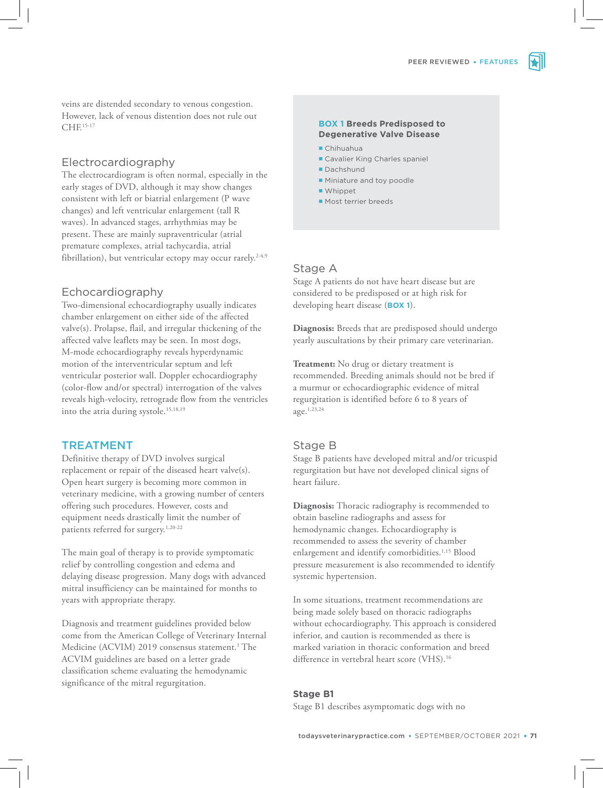veins are distended secondary to venous congestion. However, lack of venous distention does not rule out CHF.15-17

### Electrocardiography

The electrocardiogram is often normal, especially in the early stages of DVD, although it may show changes consistent with left or biatrial enlargement (P wave changes) and left ventricular enlargement (tall R waves). In advanced stages, arrhythmias may be present. These are mainly supraventricular (atrial premature complexes, atrial tachycardia, atrial fibrillation), but ventricular ectopy may occur rarely.<sup>2-4,9</sup>

#### Echocardiography

Two-dimensional echocardiography usually indicates chamber enlargement on either side of the affected valve(s). Prolapse, flail, and irregular thickening of the affected valve leaflets may be seen. In most dogs, M-mode echocardiography reveals hyperdynamic motion of the interventricular septum and left ventricular posterior wall. Doppler echocardiography (color-flow and/or spectral) interrogation of the valves reveals high-velocity, retrograde flow from the ventricles into the atria during systole.15,18,19

## TREATMENT

Definitive therapy of DVD involves surgical replacement or repair of the diseased heart valve(s). Open heart surgery is becoming more common in veterinary medicine, with a growing number of centers offering such procedures. However, costs and equipment needs drastically limit the number of patients referred for surgery.<sup>1,20-22</sup>

The main goal of therapy is to provide symptomatic relief by controlling congestion and edema and delaying disease progression. Many dogs with advanced mitral insufficiency can be maintained for months to years with appropriate therapy.

Diagnosis and treatment guidelines provided below come from the American College of Veterinary Internal Medicine (ACVIM) 2019 consensus statement.<sup>1</sup> The ACVIM guidelines are based on a letter grade classification scheme evaluating the hemodynamic significance of the mitral regurgitation.

#### **BOX 1 Breeds Predisposed to Degenerative Valve Disease**

- Chihuahua
- Cavalier King Charles spaniel
- Dachshund
- **Miniature and toy poodle**
- Whippet
- **Most terrier breeds**

#### Stage A

Stage A patients do not have heart disease but are considered to be predisposed or at high risk for developing heart disease (**BOX 1**).

**Diagnosis:** Breeds that are predisposed should undergo yearly auscultations by their primary care veterinarian.

**Treatment:** No drug or dietary treatment is recommended. Breeding animals should not be bred if a murmur or echocardiographic evidence of mitral regurgitation is identified before 6 to 8 years of age.1,23,24

#### Stage B

Stage B patients have developed mitral and/or tricuspid regurgitation but have not developed clinical signs of heart failure.

**Diagnosis:** Thoracic radiography is recommended to obtain baseline radiographs and assess for hemodynamic changes. Echocardiography is recommended to assess the severity of chamber enlargement and identify comorbidities.<sup>1,15</sup> Blood pressure measurement is also recommended to identify systemic hypertension.

In some situations, treatment recommendations are being made solely based on thoracic radiographs without echocardiography. This approach is considered inferior, and caution is recommended as there is marked variation in thoracic conformation and breed difference in vertebral heart score (VHS).<sup>16</sup>

# **Stage B1**

Stage B1 describes asymptomatic dogs with no

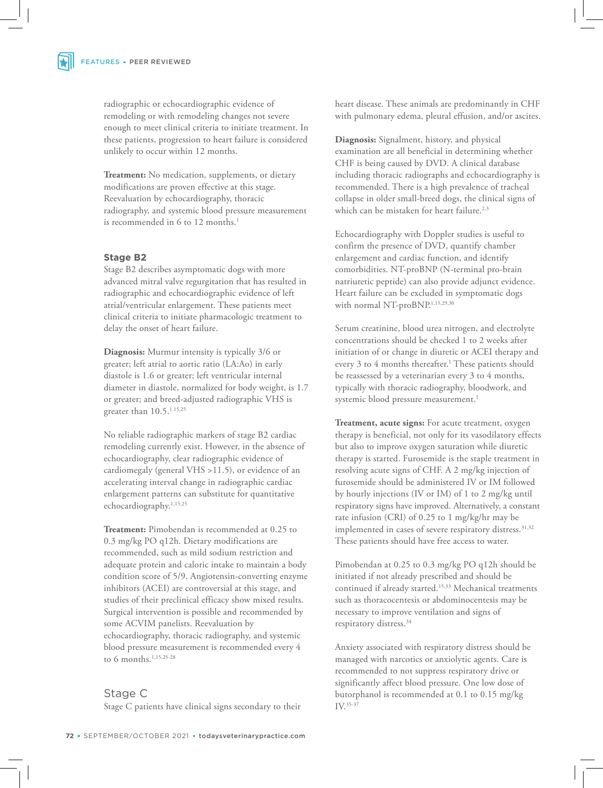radiographic or echocardiographic evidence of remodeling or with remodeling changes not severe enough to meet clinical criteria to initiate treatment. In these patients, progression to heart failure is considered unlikely to occur within 12 months.

**Treatment:** No medication, supplements, or dietary modifications are proven effective at this stage. Reevaluation by echocardiography, thoracic radiography, and systemic blood pressure measurement is recommended in 6 to 12 months.<sup>1</sup>

#### **Stage B2**

Stage B2 describes asymptomatic dogs with more advanced mitral valve regurgitation that has resulted in radiographic and echocardiographic evidence of left atrial/ventricular enlargement. These patients meet clinical criteria to initiate pharmacologic treatment to delay the onset of heart failure.

**Diagnosis:** Murmur intensity is typically 3/6 or greater; left atrial to aortic ratio (LA:Ao) in early diastole is 1.6 or greater; left ventricular internal diameter in diastole, normalized for body weight, is 1.7 or greater; and breed-adjusted radiographic VHS is greater than 10.5.1,15,25

No reliable radiographic markers of stage B2 cardiac remodeling currently exist. However, in the absence of echocardiography, clear radiographic evidence of cardiomegaly (general VHS >11.5), or evidence of an accelerating interval change in radiographic cardiac enlargement patterns can substitute for quantitative echocardiography.<sup>1,15,25</sup>

**Treatment:** Pimobendan is recommended at 0.25 to 0.3 mg/kg PO q12h. Dietary modifications are recommended, such as mild sodium restriction and adequate protein and caloric intake to maintain a body condition score of 5/9. Angiotensin-converting enzyme inhibitors (ACEI) are controversial at this stage, and studies of their preclinical efficacy show mixed results. Surgical intervention is possible and recommended by some ACVIM panelists. Reevaluation by echocardiography, thoracic radiography, and systemic blood pressure measurement is recommended every 4 to 6 months.<sup>1,15,25-28</sup>

#### Stage C

Stage C patients have clinical signs secondary to their

heart disease. These animals are predominantly in CHF with pulmonary edema, pleural effusion, and/or ascites.

**Diagnosis:** Signalment, history, and physical examination are all beneficial in determining whether CHF is being caused by DVD. A clinical database including thoracic radiographs and echocardiography is recommended. There is a high prevalence of tracheal collapse in older small-breed dogs, the clinical signs of which can be mistaken for heart failure.<sup>2,3</sup>

Echocardiography with Doppler studies is useful to confirm the presence of DVD, quantify chamber enlargement and cardiac function, and identify comorbidities. NT-proBNP (N-terminal pro-brain natriuretic peptide) can also provide adjunct evidence. Heart failure can be excluded in symptomatic dogs with normal NT-proBNP.<sup>1,15,29,30</sup>

Serum creatinine, blood urea nitrogen, and electrolyte concentrations should be checked 1 to 2 weeks after initiation of or change in diuretic or ACEI therapy and every 3 to 4 months thereafter.<sup>1</sup> These patients should be reassessed by a veterinarian every 3 to 4 months, typically with thoracic radiography, bloodwork, and systemic blood pressure measurement.<sup>1</sup>

**Treatment, acute signs:** For acute treatment, oxygen therapy is beneficial, not only for its vasodilatory effects but also to improve oxygen saturation while diuretic therapy is started. Furosemide is the staple treatment in resolving acute signs of CHF. A 2 mg/kg injection of furosemide should be administered IV or IM followed by hourly injections (IV or IM) of 1 to 2 mg/kg until respiratory signs have improved. Alternatively, a constant rate infusion (CRI) of 0.25 to 1 mg/kg/hr may be implemented in cases of severe respiratory distress.<sup>31,32</sup> These patients should have free access to water.

Pimobendan at 0.25 to 0.3 mg/kg PO q12h should be initiated if not already prescribed and should be continued if already started.15,33 Mechanical treatments such as thoracocentesis or abdominocentesis may be necessary to improve ventilation and signs of respiratory distress.<sup>34</sup>

Anxiety associated with respiratory distress should be managed with narcotics or anxiolytic agents. Care is recommended to not suppress respiratory drive or significantly affect blood pressure. One low dose of butorphanol is recommended at 0.1 to 0.15 mg/kg IV.35-37

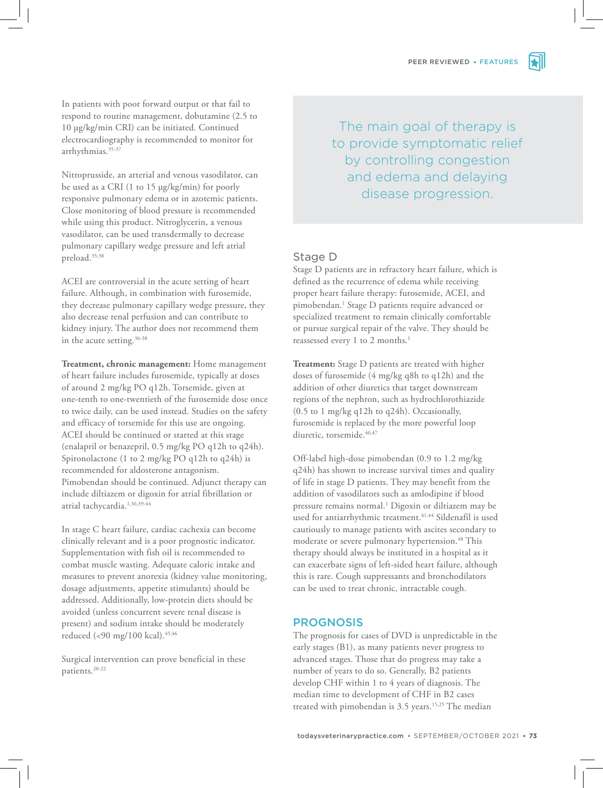

In patients with poor forward output or that fail to respond to routine management, dobutamine (2.5 to 10 µg/kg/min CRI) can be initiated. Continued electrocardiography is recommended to monitor for arrhythmias.35-37

Nitroprusside, an arterial and venous vasodilator, can be used as a CRI (1 to 15 µg/kg/min) for poorly responsive pulmonary edema or in azotemic patients. Close monitoring of blood pressure is recommended while using this product. Nitroglycerin, a venous vasodilator, can be used transdermally to decrease pulmonary capillary wedge pressure and left atrial preload.35,38

ACEI are controversial in the acute setting of heart failure. Although, in combination with furosemide, they decrease pulmonary capillary wedge pressure, they also decrease renal perfusion and can contribute to kidney injury. The author does not recommend them in the acute setting.<sup>36-38</sup>

**Treatment, chronic management:** Home management of heart failure includes furosemide, typically at doses of around 2 mg/kg PO q12h. Torsemide, given at one-tenth to one-twentieth of the furosemide dose once to twice daily, can be used instead. Studies on the safety and efficacy of torsemide for this use are ongoing. ACEI should be continued or started at this stage (enalapril or benazepril, 0.5 mg/kg PO q12h to q24h). Spironolactone (1 to 2 mg/kg PO q12h to q24h) is recommended for aldosterone antagonism. Pimobendan should be continued. Adjunct therapy can include diltiazem or digoxin for atrial fibrillation or atrial tachycardia.1,36,39-44

In stage C heart failure, cardiac cachexia can become clinically relevant and is a poor prognostic indicator. Supplementation with fish oil is recommended to combat muscle wasting. Adequate caloric intake and measures to prevent anorexia (kidney value monitoring, dosage adjustments, appetite stimulants) should be addressed. Additionally, low-protein diets should be avoided (unless concurrent severe renal disease is present) and sodium intake should be moderately reduced (<90 mg/100 kcal).<sup>45,46</sup>

Surgical intervention can prove beneficial in these patients.20-22

The main goal of therapy is to provide symptomatic relief by controlling congestion and edema and delaying disease progression.

## Stage D

Stage D patients are in refractory heart failure, which is defined as the recurrence of edema while receiving proper heart failure therapy: furosemide, ACEI, and pimobendan.<sup>1</sup> Stage D patients require advanced or specialized treatment to remain clinically comfortable or pursue surgical repair of the valve. They should be reassessed every 1 to 2 months.<sup>1</sup>

**Treatment:** Stage D patients are treated with higher doses of furosemide (4 mg/kg q8h to q12h) and the addition of other diuretics that target downstream regions of the nephron, such as hydrochlorothiazide (0.5 to 1 mg/kg q12h to q24h). Occasionally, furosemide is replaced by the more powerful loop diuretic, torsemide.<sup>40,47</sup>

Off-label high-dose pimobendan (0.9 to 1.2 mg/kg q24h) has shown to increase survival times and quality of life in stage D patients. They may benefit from the addition of vasodilators such as amlodipine if blood pressure remains normal.<sup>1</sup> Digoxin or diltiazem may be used for antiarrhythmic treatment.<sup>41,44</sup> Sildenafil is used cautiously to manage patients with ascites secondary to moderate or severe pulmonary hypertension.<sup>48</sup> This therapy should always be instituted in a hospital as it can exacerbate signs of left-sided heart failure, although this is rare. Cough suppressants and bronchodilators can be used to treat chronic, intractable cough.

#### PROGNOSIS

The prognosis for cases of DVD is unpredictable in the early stages (B1), as many patients never progress to advanced stages. Those that do progress may take a number of years to do so. Generally, B2 patients develop CHF within 1 to 4 years of diagnosis. The median time to development of CHF in B2 cases treated with pimobendan is 3.5 years.<sup>15,25</sup> The median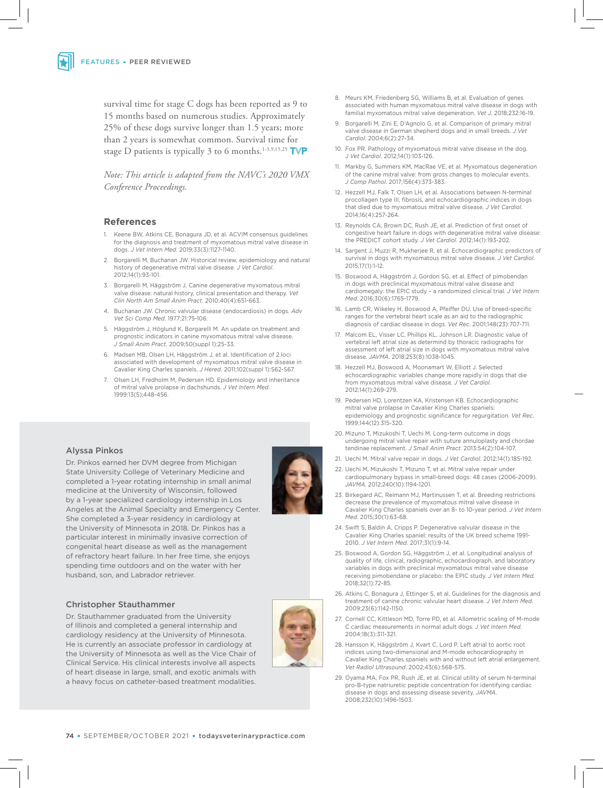survival time for stage C dogs has been reported as 9 to 15 months based on numerous studies. Approximately 25% of these dogs survive longer than 1.5 years; more than 2 years is somewhat common. Survival time for stage D patients is typically 3 to 6 months.<sup>1-3,9,15,25</sup> TVP

*Note: This article is adapted from the NAVC's 2020 VMX Conference Proceedings.* 

#### **References**

- 1. Keene BW, Atkins CE, Bonagura JD, et al. ACVIM consensus guidelines for the diagnosis and treatment of myxomatous mitral valve disease in dogs. *J Vet Intern Med*. 2019;33(3):1127-1140.
- 2. Borgarelli M, Buchanan JW. Historical review, epidemiology and natural history of degenerative mitral valve disease. *J Vet Cardiol*. 2012;14(1):93-101.
- 3. Borgarelli M, Häggström J. Canine degenerative myxomatous mitral valve disease: natural history, clinical presentation and therapy. *Vet Clin North Am Small Anim Pract*. 2010;40(4):651-663.
- 4. Buchanan JW. Chronic valvular disease (endocardiosis) in dogs. *Adv Vet Sci Comp Med*. 1977;21:75-106.
- 5. Häggström J, Höglund K, Borgarelli M. An update on treatment and prognostic indicators in canine myxomatous mitral valve disease. *J Small Anim Pract*. 2009;50(suppl 1):25-33.
- 6. Madsen MB, Olsen LH, Häggström J, et al. Identification of 2 loci associated with development of myxomatous mitral valve disease in Cavalier King Charles spaniels. *J Hered*. 2011;102(suppl 1):S62-S67.
- 7. Olsen LH, Fredholm M, Pedersen HD. Epidemiology and inheritance of mitral valve prolapse in dachshunds. *J Vet Intern Med*. 1999:13(5);448-456.

#### Alyssa Pinkos

Dr. Pinkos earned her DVM degree from Michigan State University College of Veterinary Medicine and completed a 1-year rotating internship in small animal medicine at the University of Wisconsin, followed by a 1-year specialized cardiology internship in Los Angeles at the Animal Specialty and Emergency Center. She completed a 3-year residency in cardiology at the University of Minnesota in 2018. Dr. Pinkos has a particular interest in minimally invasive correction of congenital heart disease as well as the management of refractory heart failure. In her free time, she enjoys spending time outdoors and on the water with her husband, son, and Labrador retriever.

#### Christopher Stauthammer

Dr. Stauthammer graduated from the University of Illinois and completed a general internship and cardiology residency at the University of Minnesota. He is currently an associate professor in cardiology at the University of Minnesota as well as the Vice Chair of Clinical Service. His clinical interests involve all aspects of heart disease in large, small, and exotic animals with a heavy focus on catheter-based treatment modalities.



- 8. Meurs KM, Friedenberg SG, Williams B, et al. Evaluation of genes associated with human myxomatous mitral valve disease in dogs with familial myxomatous mitral valve degeneration. *Vet J*. 2018;232:16-19.
- 9. Borgarelli M, Zini E, D'Agnolo G, et al. Comparison of primary mitral valve disease in German shepherd dogs and in small breeds. *J Vet Cardiol*. 2004;6(2):27-34.
- 10. Fox PR. Pathology of myxomatous mitral valve disease in the dog. *J Vet Cardiol*. 2012;14(1):103-126.
- 11. Markby G, Summers KM, MacRae VE, et al. Myxomatous degeneration of the canine mitral valve: from gross changes to molecular events. *J Comp Pathol*. 2017;156(4):373-383.
- 12. Hezzell MJ, Falk T, Olsen LH, et al. Associations between N-terminal procollagen type III, fibrosis, and echocardiographic indices in dogs that died due to myxomatous mitral valve disease. *J Vet Cardiol*. 2014;16(4):257-264.
- 13. Reynolds CA, Brown DC, Rush JE, et al. Prediction of first onset of congestive heart failure in dogs with degenerative mitral valve disease: the PREDICT cohort study. *J Vet Cardiol*. 2012;14(1):193-202.
- 14. Sargent J, Muzzi R, Mukherjee R, et al. Echocardiographic predictors of survival in dogs with myxomatous mitral valve disease. *J Vet Cardiol*. 2015;17(1):1-12.
- 15. Boswood A, Häggström J, Gordon SG, et al. Effect of pimobendan in dogs with preclinical myxomatous mitral valve disease and cardiomegaly: the EPIC study – a randomized clinical trial. *J Vet Intern Med*. 2016;30(6):1765-1779.
- 16. Lamb CR, Wikeley H, Boswood A, Pfeiffer DU. Use of breed-specific ranges for the vertebral heart scale as an aid to the radiographic diagnosis of cardiac disease in dogs. *Vet Rec*. 2001;148(23):707-711.
- 17. Malcom EL, Visser LC, Phillips KL, Johnson LR. Diagnostic value of vertebral left atrial size as determind by thoracic radiographs for assessment of left atrial size in dogs with myxomatous mitral valve disease. *JAVMA*. 2018;253(8):1038-1045.
- 18. Hezzell MJ, Boswood A, Moonamart W, Elliott J. Selected echocardiographic variables change more rapidly in dogs that die from myxomatous mitral valve disease. *J Vet Cardiol*. 2012;14(1):269-279.
- 19. Pedersen HD, Lorentzen KA, Kristensen KB. Echocardiographic mitral valve prolapse in Cavalier King Charles spaniels: epidemiology and prognostic significance for regurgitation. *Vet Rec*. 1999;144(12):315-320.
- 20. Mizuno T, Mizukoshi T, Uechi M. Long-term outcome in dogs undergoing mitral valve repair with suture annuloplasty and chordae tendinae replacement. *J Small Anim Pract*. 2013:54(2):104-107.
- 21. Uechi M. Mitral valve repair in dogs. *J Vet Cardiol*. 2012;14(1):185-192.
- 22. Uechi M, Mizukoshi T, Mizuno T, et al. Mitral valve repair under cardiopulmonary bypass in small-breed dogs: 48 cases (2006-2009). *JAVMA*. 2012;240(10):1194-1201.
- 23. Birkegard AC, Reimann MJ, Martinussen T, et al. Breeding restrictions decrease the prevalence of myxomatous mitral valve disease in Cavalier King Charles spaniels over an 8- to 10-year period. *J Vet Intern Med*. 2015;30(1):63-68.
- 24. Swift S, Baldin A, Cripps P. Degenerative valvular disease in the Cavalier King Charles spaniel: results of the UK breed scheme 1991- 2010. *J Vet Intern Med*. 2017;31(1):9-14.
- 25. Boswood A, Gordon SG, Häggström J, et al. Longitudinal analysis of quality of life, clinical, radiographic, echocardiograph, and laboratory variables in dogs with preclinical myxomatous mitral valve disease receiving pimobendane or placebo: the EPIC study. *J Vet Intern Med.* 2018;32(1):72-85.
- 26. Atkins C, Bonagura J, Ettinger S, et al. Guidelines for the diagnosis and treatment of canine chronic valvular heart disease. *J Vet Intern Med*. 2009;23(6):1142-1150.
- 27. Cornell CC, Kittleson MD, Torre PD, et al. Allometric scaling of M-mode C cardiac measurements in normal adult dogs. *J Vet Intern Med*. 2004;18(3):311-321.
- 28. Hansson K, Häggström J, Kvart C, Lord P. Left atrial to aortic root indices using two-dimensional and M-mode echocardiography in Cavalier King Charles spaniels with and without left atrial enlargement. *Vet Radiol Ultrasound*. 2002;43(6):568-575.
- 29. Oyama MA, Fox PR, Rush JE, et al. Clinical utility of serum N-terminal pro-B-type natriuretic peptide concentration for identifying cardiac disease in dogs and assessing disease severity. *JAVMA*. 2008;232(10):1496-1503.